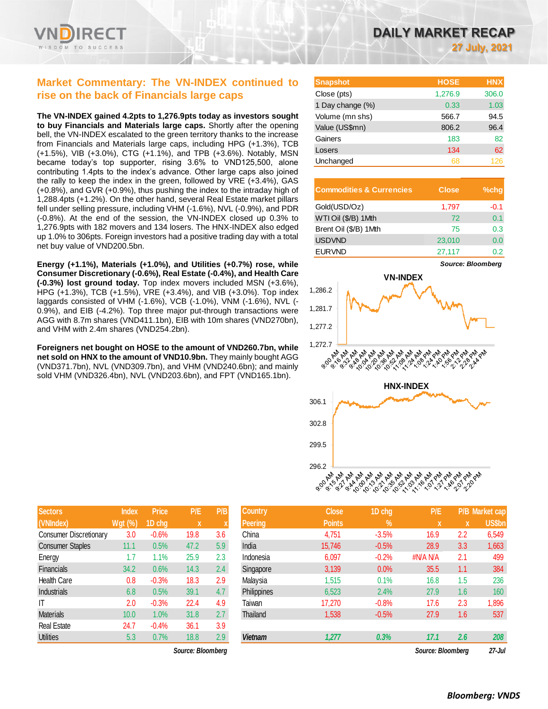

# **Market Commentary: The VN-INDEX continued to rise on the back of Financials large caps**

**The VN-INDEX gained 4.2pts to 1,276.9pts today as investors sought to buy Financials and Materials large caps.** Shortly after the opening bell, the VN-INDEX escalated to the green territory thanks to the increase from Financials and Materials large caps, including HPG (+1.3%), TCB (+1.5%), VIB (+3.0%), CTG (+1.1%), and TPB (+3.6%). Notably, MSN became today's top supporter, rising 3.6% to VND125,500, alone contributing 1.4pts to the index's advance. Other large caps also joined the rally to keep the index in the green, followed by VRE (+3.4%), GAS (+0.8%), and GVR (+0.9%), thus pushing the index to the intraday high of 1,288.4pts (+1.2%). On the other hand, several Real Estate market pillars fell under selling pressure, including VHM (-1.6%), NVL (-0.9%), and PDR (-0.8%). At the end of the session, the VN-INDEX closed up 0.3% to 1,276.9pts with 182 movers and 134 losers. The HNX-INDEX also edged up 1.0% to 306pts. Foreign investors had a positive trading day with a total net buy value of VND200.5bn.

**Energy (+1.1%), Materials (+1.0%), and Utilities (+0.7%) rose, while Consumer Discretionary (-0.6%), Real Estate (-0.4%), and Health Care (-0.3%) lost ground today.** Top index movers included MSN (+3.6%), HPG (+1.3%), TCB (+1.5%), VRE (+3.4%), and VIB (+3.0%). Top index laggards consisted of VHM (-1.6%), VCB (-1.0%), VNM (-1.6%), NVL (- 0.9%), and EIB (-4.2%). Top three major put-through transactions were AGG with 8.7m shares (VND411.1bn), EIB with 10m shares (VND270bn), and VHM with 2.4m shares (VND254.2bn).

**Foreigners net bought on HOSE to the amount of VND260.7bn, while net sold on HNX to the amount of VND10.9bn.** They mainly bought AGG (VND371.7bn), NVL (VND309.7bn), and VHM (VND240.6bn); and mainly sold VHM (VND326.4bn), NVL (VND203.6bn), and FPT (VND165.1bn).

| DAILY MARKET RECAP |                      |  |
|--------------------|----------------------|--|
|                    | <b>27 July, 2021</b> |  |

| <b>Snapshot</b>  | <b>HOSE</b> | <b>HNX</b> |
|------------------|-------------|------------|
| Close (pts)      | 1,276.9     | 306.0      |
| 1 Day change (%) | 0.33        | 1.03       |
| Volume (mn shs)  | 566.7       | 94.5       |
| Value (US\$mn)   | 806.2       | 96.4       |
| Gainers          | 183         | 82         |
| Losers           | 134         | 62         |
| Unchanged        | 68          | 126        |

| <b>Commodities &amp; Currencies</b> | <b>Close</b> | $%$ chq |
|-------------------------------------|--------------|---------|
| Gold(USD/Oz)                        | 1,797        | $-0.1$  |
| WTI Oil (\$/B) 1Mth                 | 72           | 0.1     |
| Brent Oil (\$/B) 1Mth               | 75           | 0.3     |
| <b>USDVND</b>                       | 23,010       | 0.0     |
| <b>EURVND</b>                       | 27,117       | 0.2.    |





| <b>Sectors</b>                | <b>Index</b>   | <b>Price</b> | P/E  | P/B |
|-------------------------------|----------------|--------------|------|-----|
| (VNIndex)                     | <b>Wgt (%)</b> | 1D chg       | X    | X   |
| <b>Consumer Discretionary</b> | 3.0            | $-0.6%$      | 19.8 | 3.6 |
| <b>Consumer Staples</b>       | 11.1           | 0.5%         | 47.2 | 5.9 |
| Energy                        | 1.7            | 1.1%         | 25.9 | 2.3 |
| <b>Financials</b>             | 34.2           | 0.6%         | 14.3 | 2.4 |
| <b>Health Care</b>            | 0.8            | $-0.3%$      | 18.3 | 2.9 |
| <b>Industrials</b>            | 6.8            | 0.5%         | 39.1 | 4.7 |
| ΙT                            | 2.0            | $-0.3%$      | 22.4 | 4.9 |
| <b>Materials</b>              | 10.0           | 1.0%         | 31.8 | 2.7 |
| <b>Real Estate</b>            | 24.7           | $-0.4%$      | 36.1 | 3.9 |
| <b>Utilities</b>              | 5.3            | 0.7%         | 18.8 | 2.9 |

| <b>Sectors</b>          | <b>Index</b>   | <b>Price</b> | P/E               | P/B | <b>Country</b> | <b>Close</b>  | 1D chg     | P/E               |     | P/B Market cap |
|-------------------------|----------------|--------------|-------------------|-----|----------------|---------------|------------|-------------------|-----|----------------|
| (VNIndex)               | <b>Wgt (%)</b> | 1D chg       | X                 |     | Peering        | <b>Points</b> | $\sqrt{2}$ | x                 | X   | US\$bn         |
| Consumer Discretionary  | 3.0            | $-0.6%$      | 19.8              | 3.6 | China          | 4,751         | $-3.5%$    | 16.9              | 2.2 | 6,549          |
| <b>Consumer Staples</b> | 11.1           | 0.5%         | 47.2              | 5.9 | India          | 15.746        | $-0.5%$    | 28.9              | 3.3 | 1,663          |
| Energy                  | 1.7            | 1.1%         | 25.9              | 2.3 | Indonesia      | 6,097         | $-0.2%$    | #N/A N/A          | 2.1 | 499            |
| <b>Financials</b>       | 34.2           | 0.6%         | 14.3              | 2.4 | Singapore      | 3,139         | 0.0%       | 35.5              | 1.1 | 384            |
| Health Care             | 0.8            | $-0.3%$      | 18.3              | 2.9 | Malaysia       | 1,515         | 0.1%       | 16.8              | 1.5 | 236            |
| Industrials             | 6.8            | 0.5%         | 39.1              | 4.7 | Philippines    | 6,523         | 2.4%       | 27.9              | 1.6 | 160            |
| IT                      | 2.0            | $-0.3%$      | 22.4              | 4.9 | Taiwan         | 17,270        | $-0.8%$    | 17.6              | 2.3 | 1,896          |
| <b>Materials</b>        | 10.0           | 1.0%         | 31.8              | 2.7 | Thailand       | 1,538         | $-0.5%$    | 27.9              | 1.6 | 537            |
| <b>Real Estate</b>      | 24.7           | $-0.4%$      | 36.1              | 3.9 |                |               |            |                   |     |                |
| Utilities               | 5.3            | 0.7%         | 18.8              | 2.9 | <b>Vietnam</b> | 1,277         | 0.3%       | 17.1              | 2.6 | 208            |
|                         |                |              | Source: Bloombera |     |                |               |            | Source: Bloombera |     | $27 -$ Jul     |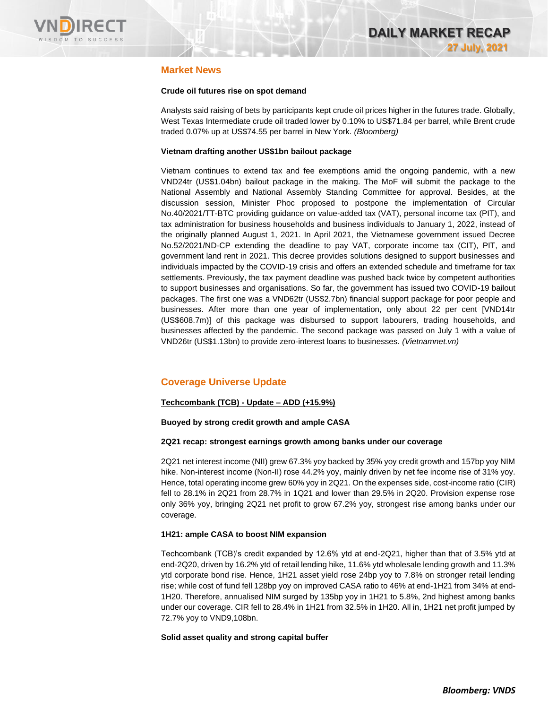

# **Market News**

### **Crude oil futures rise on spot demand**

Analysts said raising of bets by participants kept crude oil prices higher in the futures trade. Globally, West Texas Intermediate crude oil traded lower by 0.10% to US\$71.84 per barrel, while Brent crude traded 0.07% up at US\$74.55 per barrel in New York. *(Bloomberg)*

### **Vietnam drafting another US\$1bn bailout package**

Vietnam continues to extend tax and fee exemptions amid the ongoing pandemic, with a new VND24tr (US\$1.04bn) bailout package in the making. The MoF will submit the package to the National Assembly and National Assembly Standing Committee for approval. Besides, at the discussion session, Minister Phoc proposed to postpone the implementation of Circular No.40/2021/TT-BTC providing guidance on value-added tax (VAT), personal income tax (PIT), and tax administration for business households and business individuals to January 1, 2022, instead of the originally planned August 1, 2021. In April 2021, the Vietnamese government issued Decree No.52/2021/ND-CP extending the deadline to pay VAT, corporate income tax (CIT), PIT, and government land rent in 2021. This decree provides solutions designed to support businesses and individuals impacted by the COVID-19 crisis and offers an extended schedule and timeframe for tax settlements. Previously, the tax payment deadline was pushed back twice by competent authorities to support businesses and organisations. So far, the government has issued two COVID-19 bailout packages. The first one was a VND62tr (US\$2.7bn) financial support package for poor people and businesses. After more than one year of implementation, only about 22 per cent [VND14tr (US\$608.7m)] of this package was disbursed to support labourers, trading households, and businesses affected by the pandemic. The second package was passed on July 1 with a value of VND26tr (US\$1.13bn) to provide zero-interest loans to businesses. *(Vietnamnet.vn)*

# **Coverage Universe Update**

# **Techcombank (TCB) - Update – ADD (+15.9%)**

### **Buoyed by strong credit growth and ample CASA**

### **2Q21 recap: strongest earnings growth among banks under our coverage**

2Q21 net interest income (NII) grew 67.3% yoy backed by 35% yoy credit growth and 157bp yoy NIM hike. Non-interest income (Non-II) rose 44.2% yoy, mainly driven by net fee income rise of 31% yoy. Hence, total operating income grew 60% yoy in 2Q21. On the expenses side, cost-income ratio (CIR) fell to 28.1% in 2Q21 from 28.7% in 1Q21 and lower than 29.5% in 2Q20. Provision expense rose only 36% yoy, bringing 2Q21 net profit to grow 67.2% yoy, strongest rise among banks under our coverage.

### **1H21: ample CASA to boost NIM expansion**

Techcombank (TCB)'s credit expanded by 12.6% ytd at end-2Q21, higher than that of 3.5% ytd at end-2Q20, driven by 16.2% ytd of retail lending hike, 11.6% ytd wholesale lending growth and 11.3% ytd corporate bond rise. Hence, 1H21 asset yield rose 24bp yoy to 7.8% on stronger retail lending rise; while cost of fund fell 128bp yoy on improved CASA ratio to 46% at end-1H21 from 34% at end-1H20. Therefore, annualised NIM surged by 135bp yoy in 1H21 to 5.8%, 2nd highest among banks under our coverage. CIR fell to 28.4% in 1H21 from 32.5% in 1H20. All in, 1H21 net profit jumped by 72.7% yoy to VND9,108bn.

### **Solid asset quality and strong capital buffer**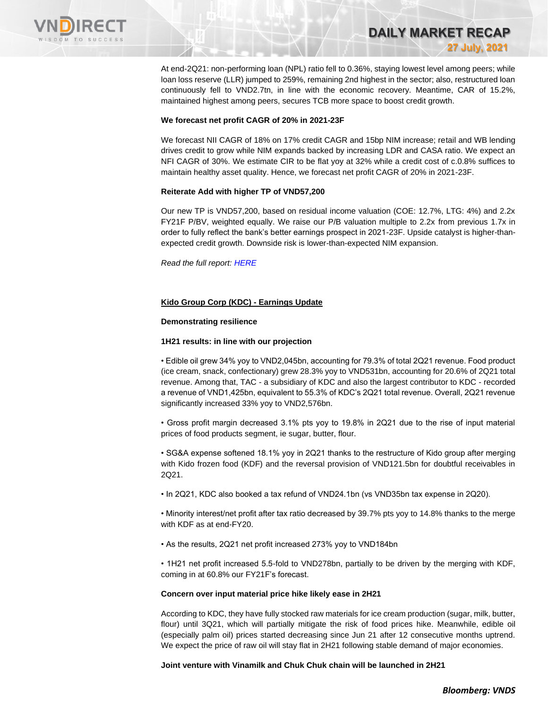

At end-2Q21: non-performing loan (NPL) ratio fell to 0.36%, staying lowest level among peers; while loan loss reserve (LLR) jumped to 259%, remaining 2nd highest in the sector; also, restructured loan continuously fell to VND2.7tn, in line with the economic recovery. Meantime, CAR of 15.2%, maintained highest among peers, secures TCB more space to boost credit growth.

**DAILY MARKET RECAP** 

**27 July, 2021**

#### **We forecast net profit CAGR of 20% in 2021-23F**

We forecast NII CAGR of 18% on 17% credit CAGR and 15bp NIM increase; retail and WB lending drives credit to grow while NIM expands backed by increasing LDR and CASA ratio. We expect an NFI CAGR of 30%. We estimate CIR to be flat yoy at 32% while a credit cost of c.0.8% suffices to maintain healthy asset quality. Hence, we forecast net profit CAGR of 20% in 2021-23F.

### **Reiterate Add with higher TP of VND57,200**

Our new TP is VND57,200, based on residual income valuation (COE: 12.7%, LTG: 4%) and 2.2x FY21F P/BV, weighted equally. We raise our P/B valuation multiple to 2.2x from previous 1.7x in order to fully reflect the bank's better earnings prospect in 2021-23F. Upside catalyst is higher-thanexpected credit growth. Downside risk is lower-than-expected NIM expansion.

*Read the full report[: HERE](https://nhanha-public-api.vndirect.com.vn/click/OGE0ODlmZDA3NTYyMzU3MDAxNzU2MmUzNWNiMzEyMTE=/OTZmZWUwZTVmZDg4NDczZTg4ODBhMTFiZjhmOWM5MGE=/96fee0e5fd88473e8880a11bf8f9c90a-TCB_update_07262021.pdf/cmVzZWFyY2hAdm5kaXJlY3QuY29tLnZu/MzMzODE=)*

### **Kido Group Corp (KDC) - Earnings Update**

#### **Demonstrating resilience**

### **1H21 results: in line with our projection**

• Edible oil grew 34% yoy to VND2,045bn, accounting for 79.3% of total 2Q21 revenue. Food product (ice cream, snack, confectionary) grew 28.3% yoy to VND531bn, accounting for 20.6% of 2Q21 total revenue. Among that, TAC - a subsidiary of KDC and also the largest contributor to KDC - recorded a revenue of VND1,425bn, equivalent to 55.3% of KDC's 2Q21 total revenue. Overall, 2Q21 revenue significantly increased 33% yoy to VND2,576bn.

• Gross profit margin decreased 3.1% pts yoy to 19.8% in 2Q21 due to the rise of input material prices of food products segment, ie sugar, butter, flour.

• SG&A expense softened 18.1% yoy in 2Q21 thanks to the restructure of Kido group after merging with Kido frozen food (KDF) and the reversal provision of VND121.5bn for doubtful receivables in 2Q21.

• In 2Q21, KDC also booked a tax refund of VND24.1bn (vs VND35bn tax expense in 2Q20).

• Minority interest/net profit after tax ratio decreased by 39.7% pts yoy to 14.8% thanks to the merge with KDF as at end-FY20.

• As the results, 2Q21 net profit increased 273% yoy to VND184bn

• 1H21 net profit increased 5.5-fold to VND278bn, partially to be driven by the merging with KDF, coming in at 60.8% our FY21F's forecast.

#### **Concern over input material price hike likely ease in 2H21**

According to KDC, they have fully stocked raw materials for ice cream production (sugar, milk, butter, flour) until 3Q21, which will partially mitigate the risk of food prices hike. Meanwhile, edible oil (especially palm oil) prices started decreasing since Jun 21 after 12 consecutive months uptrend. We expect the price of raw oil will stay flat in 2H21 following stable demand of major economies.

### **Joint venture with Vinamilk and Chuk Chuk chain will be launched in 2H21**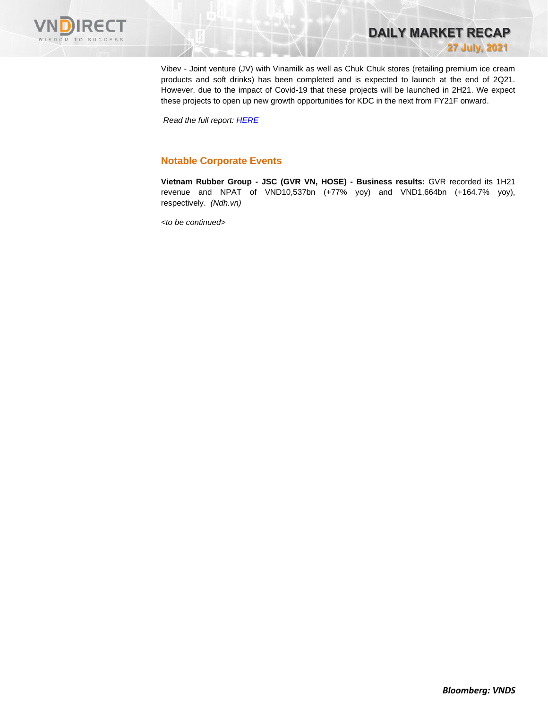

Vibev - Joint venture (JV) with Vinamilk as well as Chuk Chuk stores (retailing premium ice cream products and soft drinks) has been completed and is expected to launch at the end of 2Q21. However, due to the impact of Covid-19 that these projects will be launched in 2H21. We expect these projects to open up new growth opportunities for KDC in the next from FY21F onward.

**DAILY MARKET RECAP** 

**27 July, 2021**

*Read the full report: [HERE](https://nhanha-public-api.vndirect.com.vn/click/OGE0ODlmZDA3ODBmMjMzZDAxNzgwZmU1YWI2ZTAwMDU=/ZDk2ZDk5YWYxZjg5NGI1ZThmZGRiNThiN2UyYzRiYmE=/d96d99af1f894b5e8fddb58b7e2c4bba-KDC_EarningUpdate_20210727.pdf/cmVzZWFyY2hAdm5kaXJlY3QuY29tLnZu/MzMzODU=)*

# **Notable Corporate Events**

**Vietnam Rubber Group - JSC (GVR VN, HOSE) - Business results:** GVR recorded its 1H21 revenue and NPAT of VND10,537bn (+77% yoy) and VND1,664bn (+164.7% yoy), respectively. *(Ndh.vn)*

*<to be continued>*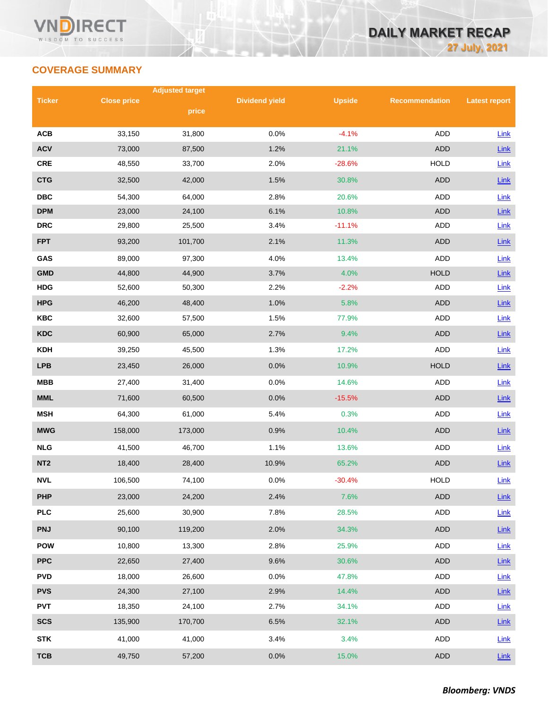# **COVERAGE SUMMARY**

|                 |                    | <b>Adjusted target</b> |                       |               |                       |                      |
|-----------------|--------------------|------------------------|-----------------------|---------------|-----------------------|----------------------|
| <b>Ticker</b>   | <b>Close price</b> |                        | <b>Dividend yield</b> | <b>Upside</b> | <b>Recommendation</b> | <b>Latest report</b> |
|                 |                    | price                  |                       |               |                       |                      |
| <b>ACB</b>      | 33,150             | 31,800                 | 0.0%                  | $-4.1%$       | <b>ADD</b>            | Link                 |
| <b>ACV</b>      | 73,000             | 87,500                 | 1.2%                  | 21.1%         | <b>ADD</b>            | $Link$               |
| <b>CRE</b>      | 48,550             | 33,700                 | 2.0%                  | $-28.6%$      | <b>HOLD</b>           | Link                 |
| <b>CTG</b>      | 32,500             | 42,000                 | 1.5%                  | 30.8%         | <b>ADD</b>            | Link                 |
| <b>DBC</b>      | 54,300             | 64,000                 | 2.8%                  | 20.6%         | ADD                   | Link                 |
| <b>DPM</b>      | 23,000             | 24,100                 | 6.1%                  | 10.8%         | <b>ADD</b>            | Link                 |
| <b>DRC</b>      | 29,800             | 25,500                 | 3.4%                  | $-11.1%$      | <b>ADD</b>            | Link                 |
| <b>FPT</b>      | 93,200             | 101,700                | 2.1%                  | 11.3%         | <b>ADD</b>            | Link                 |
| GAS             | 89,000             | 97,300                 | 4.0%                  | 13.4%         | <b>ADD</b>            | Link                 |
| <b>GMD</b>      | 44,800             | 44,900                 | 3.7%                  | 4.0%          | <b>HOLD</b>           | Link                 |
| <b>HDG</b>      | 52,600             | 50,300                 | 2.2%                  | $-2.2%$       | ADD                   | Link                 |
| <b>HPG</b>      | 46,200             | 48,400                 | 1.0%                  | 5.8%          | <b>ADD</b>            | Link                 |
| <b>KBC</b>      | 32,600             | 57,500                 | 1.5%                  | 77.9%         | ADD                   | Link                 |
| <b>KDC</b>      | 60,900             | 65,000                 | 2.7%                  | 9.4%          | <b>ADD</b>            | Link                 |
| <b>KDH</b>      | 39,250             | 45,500                 | 1.3%                  | 17.2%         | ADD                   | Link                 |
| <b>LPB</b>      | 23,450             | 26,000                 | 0.0%                  | 10.9%         | <b>HOLD</b>           | Link                 |
| <b>MBB</b>      | 27,400             | 31,400                 | 0.0%                  | 14.6%         | ADD                   | Link                 |
| <b>MML</b>      | 71,600             | 60,500                 | 0.0%                  | $-15.5%$      | <b>ADD</b>            | Link                 |
| <b>MSH</b>      | 64,300             | 61,000                 | 5.4%                  | 0.3%          | ADD                   | Link                 |
| <b>MWG</b>      | 158,000            | 173,000                | 0.9%                  | 10.4%         | <b>ADD</b>            | Link                 |
| <b>NLG</b>      | 41,500             | 46,700                 | 1.1%                  | 13.6%         | ADD                   | Link                 |
| NT <sub>2</sub> | 18,400             | 28,400                 | 10.9%                 | 65.2%         | <b>ADD</b>            | Link                 |
| <b>NVL</b>      | 106,500            | 74,100                 | 0.0%                  | $-30.4%$      | <b>HOLD</b>           | Link                 |
| <b>PHP</b>      | 23,000             | 24,200                 | 2.4%                  | 7.6%          | ADD                   | $Link$               |
| <b>PLC</b>      | 25,600             | 30,900                 | 7.8%                  | 28.5%         | ADD                   | Link                 |
| <b>PNJ</b>      | 90,100             | 119,200                | 2.0%                  | 34.3%         | ADD                   | Link                 |
| <b>POW</b>      | 10,800             | 13,300                 | 2.8%                  | 25.9%         | ADD                   | Link                 |
| <b>PPC</b>      | 22,650             | 27,400                 | 9.6%                  | 30.6%         | ADD                   | $Link$               |
| <b>PVD</b>      | 18,000             | 26,600                 | 0.0%                  | 47.8%         | ADD                   | <b>Link</b>          |
| <b>PVS</b>      | 24,300             | 27,100                 | 2.9%                  | 14.4%         | <b>ADD</b>            | $Link$               |
| <b>PVT</b>      | 18,350             | 24,100                 | 2.7%                  | 34.1%         | ADD                   | Link                 |
| <b>SCS</b>      | 135,900            | 170,700                | 6.5%                  | 32.1%         | ADD                   | $Link$               |
| <b>STK</b>      | 41,000             | 41,000                 | 3.4%                  | 3.4%          | ADD                   | Link                 |
| <b>TCB</b>      | 49,750             | 57,200                 | 0.0%                  | 15.0%         | <b>ADD</b>            | Link                 |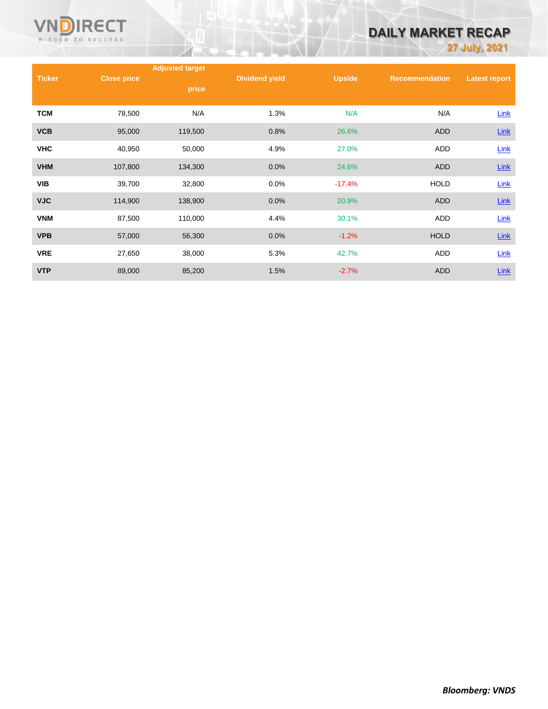

# **DAILY MARKET RECAP**

**27 July, 2021**

|               |                    | <b>Adjusted target</b> |                       |               |                       |                      |
|---------------|--------------------|------------------------|-----------------------|---------------|-----------------------|----------------------|
| <b>Ticker</b> | <b>Close price</b> | price                  | <b>Dividend yield</b> | <b>Upside</b> | <b>Recommendation</b> | <b>Latest report</b> |
|               |                    |                        |                       |               |                       |                      |
| <b>TCM</b>    | 78,500             | N/A                    | 1.3%                  | N/A           | N/A                   | Link                 |
| <b>VCB</b>    | 95,000             | 119,500                | 0.8%                  | 26.6%         | ADD                   | $Link$               |
| <b>VHC</b>    | 40,950             | 50,000                 | 4.9%                  | 27.0%         | ADD                   | Link                 |
| <b>VHM</b>    | 107,800            | 134,300                | 0.0%                  | 24.6%         | <b>ADD</b>            | Link                 |
| <b>VIB</b>    | 39,700             | 32,800                 | 0.0%                  | $-17.4%$      | <b>HOLD</b>           | Link                 |
| <b>VJC</b>    | 114,900            | 138,900                | 0.0%                  | 20.9%         | <b>ADD</b>            | <b>Link</b>          |
| <b>VNM</b>    | 87,500             | 110,000                | 4.4%                  | 30.1%         | <b>ADD</b>            | Link                 |
| <b>VPB</b>    | 57,000             | 56,300                 | 0.0%                  | $-1.2%$       | <b>HOLD</b>           | $Link$               |
| <b>VRE</b>    | 27,650             | 38,000                 | 5.3%                  | 42.7%         | <b>ADD</b>            | Link                 |
| <b>VTP</b>    | 89,000             | 85,200                 | 1.5%                  | $-2.7%$       | <b>ADD</b>            | Link                 |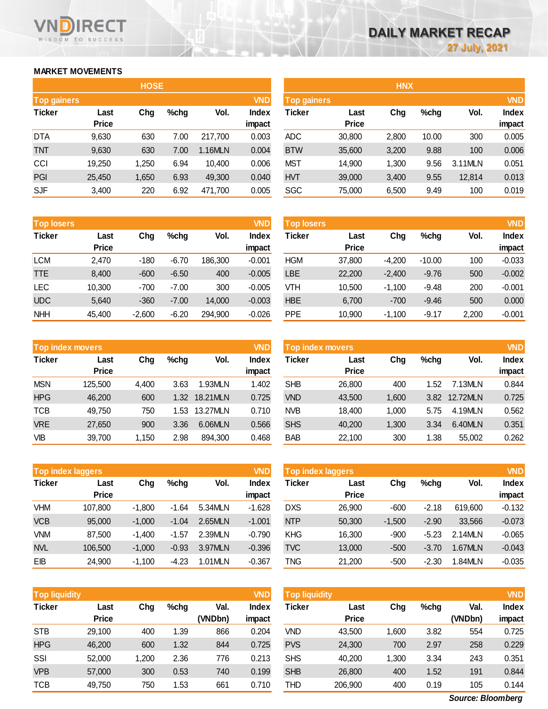# **MARKET MOVEMENTS**

WISDOM TO SUCCESS

**RECT** 

VI

| <b>HOSE</b>        |              |       |      |         |              |  |  |  |  |  |
|--------------------|--------------|-------|------|---------|--------------|--|--|--|--|--|
| <b>Top gainers</b> |              |       |      |         | <b>VND</b>   |  |  |  |  |  |
| <b>Ticker</b>      | Last         | Chg   | %chg | Vol.    | <b>Index</b> |  |  |  |  |  |
|                    | <b>Price</b> |       |      |         | impact       |  |  |  |  |  |
| DTA                | 9,630        | 630   | 7.00 | 217,700 | 0.003        |  |  |  |  |  |
| TNT                | 9,630        | 630   | 7.00 | 1.16MLN | 0.004        |  |  |  |  |  |
| CCI                | 19,250       | 1,250 | 6.94 | 10,400  | 0.006        |  |  |  |  |  |
| PGI                | 25,450       | 1,650 | 6.93 | 49,300  | 0.040        |  |  |  |  |  |
| <b>SJF</b>         | 3,400        | 220   | 6.92 | 471,700 | 0.005        |  |  |  |  |  |

|                    |              | <b>HOSE</b> |      |         |              | <b>HNX</b>         |              |       |       |         |              |
|--------------------|--------------|-------------|------|---------|--------------|--------------------|--------------|-------|-------|---------|--------------|
| <b>Top gainers</b> |              |             |      |         | <b>VND</b>   | <b>Top gainers</b> |              |       |       |         | <b>VND</b>   |
| Ticker             | Last         | Chg         | %chg | Vol.    | <b>Index</b> | Ticker             | Last         | Chg   | %chg  | Vol.    | <b>Index</b> |
|                    | <b>Price</b> |             |      |         | impact       |                    | <b>Price</b> |       |       |         | impact       |
| DTA                | 9,630        | 630         | 7.00 | 217.700 | 0.003        | <b>ADC</b>         | 30,800       | 2,800 | 10.00 | 300     | 0.005        |
| TNT                | 9,630        | 630         | 7.00 | 1.16MLN | 0.004        | <b>BTW</b>         | 35,600       | 3,200 | 9.88  | 100     | 0.006        |
| CCI                | 19,250       | 1,250       | 6.94 | 10.400  | 0.006        | <b>MST</b>         | 14,900       | 1,300 | 9.56  | 3.11MLN | 0.051        |
| PGI                | 25,450       | 1,650       | 6.93 | 49,300  | 0.040        | <b>HVT</b>         | 39,000       | 3,400 | 9.55  | 12,814  | 0.013        |
| <b>SJF</b>         | 3,400        | 220         | 6.92 | 471,700 | 0.005        | <b>SGC</b>         | 75,000       | 6,500 | 9.49  | 100     | 0.019        |

| <b>Top losers</b> |              |          |         |         | <b>VND</b>   |
|-------------------|--------------|----------|---------|---------|--------------|
| <b>Ticker</b>     | Last         |          | %chg    | Vol.    | <b>Index</b> |
|                   | <b>Price</b> |          |         |         | impact       |
| <b>LCM</b>        | 2,470        | -180     | $-6.70$ | 186,300 | $-0.001$     |
| <b>TTE</b>        | 8,400        | $-600$   | $-6.50$ | 400     | $-0.005$     |
| <b>LEC</b>        | 10,300       | -700     | $-7.00$ | 300     | $-0.005$     |
| <b>UDC</b>        | 5,640        | $-360$   | $-7.00$ | 14,000  | $-0.003$     |
| <b>NHH</b>        | 45,400       | $-2,600$ | $-6.20$ | 294,900 | $-0.026$     |

| <b>Top losers</b> |              |          |         |         | VND          | <b>Top losers</b> |              |          |          |       | <b>VND</b>   |
|-------------------|--------------|----------|---------|---------|--------------|-------------------|--------------|----------|----------|-------|--------------|
| Ticker            | Last         | Chg      | $%$ chg | Vol.    | <b>Index</b> | Ticker            | Last         | Chg      | $%$ chg  | Vol.  | <b>Index</b> |
|                   | <b>Price</b> |          |         |         | impact       |                   | <b>Price</b> |          |          |       | impact       |
| LCM               | 2,470        | $-180$   | $-6.70$ | 186,300 | $-0.001$     | <b>HGM</b>        | 37,800       | $-4,200$ | $-10.00$ | 100   | $-0.033$     |
| TTE               | 8.400        | $-600$   | $-6.50$ | 400     | $-0.005$     | <b>_BE</b>        | 22,200       | $-2.400$ | $-9.76$  | 500   | $-0.002$     |
| <b>LEC</b>        | 10,300       | $-700$   | $-7.00$ | 300     | $-0.005$     | VTH               | 10,500       | $-1.100$ | $-9.48$  | 200   | $-0.001$     |
| UDC               | 5.640        | $-360$   | $-7.00$ | 14,000  | $-0.003$     | <b>HBE</b>        | 6,700        | $-700$   | $-9.46$  | 500   | 0.000        |
| <b>NHH</b>        | 45,400       | $-2,600$ | $-6.20$ | 294,900 | $-0.026$     | <b>PPE</b>        | 10,900       | $-1,100$ | $-9.17$  | 2,200 | $-0.001$     |
|                   |              |          |         |         |              |                   |              |          |          |       |              |

|               | <b>VND</b><br><b>Top index movers</b> |       |      |          |              |  |  |  |  |  |  |
|---------------|---------------------------------------|-------|------|----------|--------------|--|--|--|--|--|--|
| <b>Ticker</b> | Last                                  | Chg   | %chg | Vol.     | <b>Index</b> |  |  |  |  |  |  |
|               | <b>Price</b>                          |       |      |          | impact       |  |  |  |  |  |  |
| <b>MSN</b>    | 125,500                               | 4,400 | 3.63 | 1.93MLN  | 1.402        |  |  |  |  |  |  |
| <b>HPG</b>    | 46,200                                | 600   | 1.32 | 18.21MLN | 0.725        |  |  |  |  |  |  |
| <b>TCB</b>    | 49,750                                | 750   | 1.53 | 13.27MLN | 0.710        |  |  |  |  |  |  |
| <b>VRE</b>    | 27,650                                | 900   | 3.36 | 6.06MLN  | 0.566        |  |  |  |  |  |  |
| VIB           | 39,700                                | 1,150 | 2.98 | 894,300  | 0.468        |  |  |  |  |  |  |

|            | <b>Top index movers</b> |       |         |          | VND          | Top index movers |              |       |         |          |              |
|------------|-------------------------|-------|---------|----------|--------------|------------------|--------------|-------|---------|----------|--------------|
| Ticker     | Last                    | Chg   | $%$ chg | Vol.     | <b>Index</b> | Ticker           | Last         | Chg   | $%$ chg | Vol.     | <b>Index</b> |
|            | <b>Price</b>            |       |         |          | impact       |                  | <b>Price</b> |       |         |          | impact       |
| MSN        | 125.500                 | 4.400 | 3.63    | 1.93MLN  | 1.402        | <b>SHB</b>       | 26,800       | 400   | 1.52    | 7.13MLN  | 0.844        |
| <b>HPG</b> | 46.200                  | 600   | 1.32    | 18.21MLN | 0.725        | <b>VND</b>       | 43,500       | 1.600 | 3.82    | 12.72MLN | 0.725        |
| TCB        | 49,750                  | 750   | .53     | 13.27MLN | 0.710        | <b>NVB</b>       | 18.400       | 1,000 | 5.75    | 4.19MLN  | 0.562        |
| <b>VRE</b> | 27,650                  | 900   | 3.36    | 6.06MLN  | 0.566        | <b>SHS</b>       | 40,200       | 1,300 | 3.34    | 6.40MLN  | 0.351        |
| VIB        | 39,700                  | 1,150 | 2.98    | 894,300  | 0.468        | <b>BAB</b>       | 22,100       | 300   | 1.38    | 55,002   | 0.262        |

| <b>VND</b><br><b>Top index laggers</b> |              |          |         |         |              |  |  |  |  |  |  |  |
|----------------------------------------|--------------|----------|---------|---------|--------------|--|--|--|--|--|--|--|
| <b>Ticker</b>                          | Last         | Chg      | $%$ chg | Vol.    | <b>Index</b> |  |  |  |  |  |  |  |
|                                        | <b>Price</b> |          |         |         | impact       |  |  |  |  |  |  |  |
| VHM                                    | 107,800      | $-1,800$ | -1.64   | 5.34MLN | $-1.628$     |  |  |  |  |  |  |  |
| <b>VCB</b>                             | 95,000       | $-1,000$ | $-1.04$ | 2.65MLN | $-1.001$     |  |  |  |  |  |  |  |
| VNM                                    | 87,500       | $-1,400$ | -1.57   | 2.39MLN | $-0.790$     |  |  |  |  |  |  |  |
| <b>NVL</b>                             | 106,500      | $-1,000$ | $-0.93$ | 3.97MLN | $-0.396$     |  |  |  |  |  |  |  |
| ΕB                                     | 24,900       | $-1,100$ | -4.23   | 1.01MLN | $-0.367$     |  |  |  |  |  |  |  |

|            | <b>VND</b><br><b>Top index laggers</b> |          |         |         |                        |            | <b>VND</b><br>Top index laggers |          |         |         |                        |  |  |
|------------|----------------------------------------|----------|---------|---------|------------------------|------------|---------------------------------|----------|---------|---------|------------------------|--|--|
| Ticker     | Last<br><b>Price</b>                   | Chg      | $%$ chg | Vol.    | <b>Index</b><br>impact | Ticker     | Last<br><b>Price</b>            | Chg      | $%$ chg | Vol.    | <b>Index</b><br>impact |  |  |
| VHM        | 107.800                                | $-1.800$ | $-1.64$ | 5.34MLN | $-1.628$               | <b>DXS</b> | 26,900                          | $-600$   | $-2.18$ | 619,600 | $-0.132$               |  |  |
| <b>VCB</b> | 95,000                                 | $-1.000$ | $-1.04$ | 2.65MLN | $-1.001$               | <b>NTP</b> | 50,300                          | $-1,500$ | $-2.90$ | 33,566  | $-0.073$               |  |  |
| <b>VNM</b> | 87,500                                 | $-1.400$ | $-1.57$ | 2.39MLN | $-0.790$               | <b>KHG</b> | 16,300                          | $-900$   | $-5.23$ | 2.14MLN | $-0.065$               |  |  |
| NVL        | 106,500                                | $-1.000$ | $-0.93$ | 3.97MLN | $-0.396$               | <b>TVC</b> | 13,000                          | $-500$   | $-3.70$ | 1.67MLN | $-0.043$               |  |  |
| ЕB         | 24,900                                 | $-1,100$ | $-4.23$ | 1.01MLN | $-0.367$               | TNG        | 21,200                          | $-500$   | $-2.30$ | .84MLN  | $-0.035$               |  |  |

| Top liquidity |                      |        |         |                 | <b>VND</b>   | <b>Top liquidity</b> |                      |        |      |                 | <b>VND</b>   |
|---------------|----------------------|--------|---------|-----------------|--------------|----------------------|----------------------|--------|------|-----------------|--------------|
| <b>Ticker</b> | Last<br><b>Price</b> | Chg    | $%$ chg | Val.<br>(VNDbn) | <b>Index</b> | Ticker               | Last<br><b>Price</b> | Chg    | %chg | Val.<br>(VNDbn) | <b>Index</b> |
|               |                      |        |         |                 | impact       |                      |                      |        |      |                 | impact       |
| <b>STB</b>    | 29.100               | 400    | 1.39    | 866             | 0.204        | VND                  | 43,500               | 600, ا | 3.82 | 554             | 0.725        |
| <b>HPG</b>    | 46,200               | 600    | 1.32    | 844             | 0.725        | <b>PVS</b>           | 24,300               | 700    | 2.97 | 258             | 0.229        |
| SSI           | 52,000               | 200, ا | 2.36    | 776             | 0.213        | <b>SHS</b>           | 40.200               | ,300   | 3.34 | 243             | 0.351        |
| <b>VPB</b>    | 57,000               | 300    | 0.53    | 740             | 0.199        | <b>SHB</b>           | 26,800               | 400    | 1.52 | 191             | 0.844        |
| <b>TCB</b>    | 49.750               | 750    | 1.53    | 661             | 0.710        | THD                  | 206.900              | 400    | 0.19 | 105             | 0.144        |

*Bloomberg: VNDS Source: Bloomberg*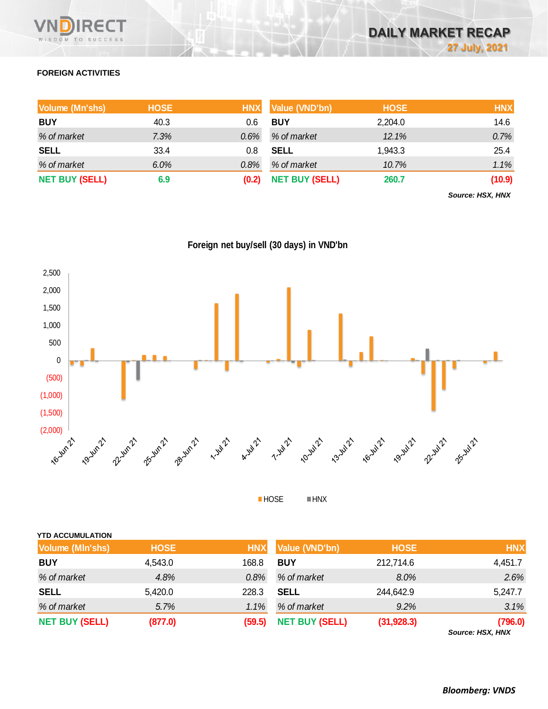

# **FOREIGN ACTIVITIES**

| Volume (Mn'shs)       | <b>HOSE</b> | <b>HNX</b> | Value (VND'bn)        | <b>HOSE</b> | <b>HNX</b> |
|-----------------------|-------------|------------|-----------------------|-------------|------------|
| <b>BUY</b>            | 40.3        | 0.6        | <b>BUY</b>            | 2,204.0     | 14.6       |
| % of market           | 7.3%        | 0.6%       | % of market           | 12.1%       | 0.7%       |
| <b>SELL</b>           | 33.4        | 0.8        | <b>SELL</b>           | 1,943.3     | 25.4       |
| % of market           | $6.0\%$     | 0.8%       | % of market           | 10.7%       | 1.1%       |
| <b>NET BUY (SELL)</b> | 6.9         | (0.2)      | <b>NET BUY (SELL)</b> | 260.7       | (10.9)     |

*Source: HSX, HNX*





HOSE HNX

| <b>YTD ACCUMULATION</b> |             |            |                       |             |                           |
|-------------------------|-------------|------------|-----------------------|-------------|---------------------------|
| <b>Volume (MIn'shs)</b> | <b>HOSE</b> | <b>HNX</b> | Value (VND'bn)        | <b>HOSE</b> | <b>HNX</b>                |
| <b>BUY</b>              | 4,543.0     | 168.8      | <b>BUY</b>            | 212,714.6   | 4,451.7                   |
| % of market             | 4.8%        | 0.8%       | % of market           | 8.0%        | 2.6%                      |
| <b>SELL</b>             | 5,420.0     | 228.3      | <b>SELL</b>           | 244,642.9   | 5,247.7                   |
| % of market             | 5.7%        | 1.1%       | % of market           | 9.2%        | 3.1%                      |
| <b>NET BUY (SELL)</b>   | (877.0)     | (59.5)     | <b>NET BUY (SELL)</b> | (31, 928.3) | (796.0)<br>$0.110M$ $\mu$ |

*Source: HSX, HNX*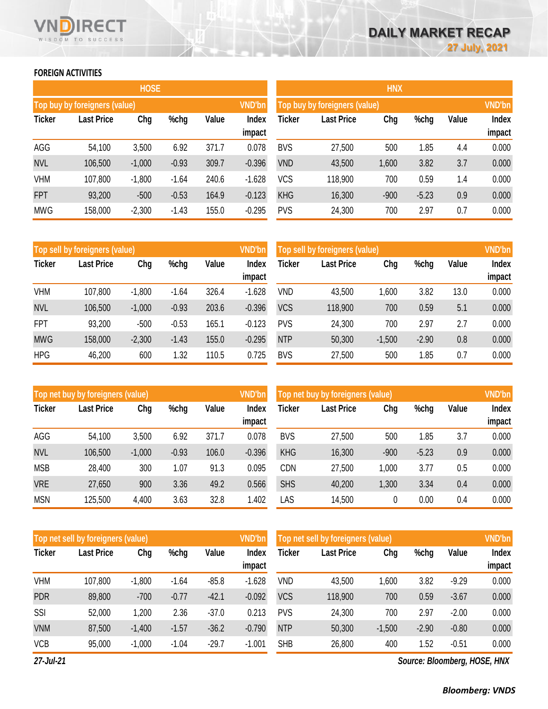# **FOREIGN ACTIVITIES**

WISDOM TO SUCCESS

 $^-$ T F٢

|               |                                                | <b>HOSE</b> |         |                 |               | <b>HNX</b> |                               |        |         |     |       |  |
|---------------|------------------------------------------------|-------------|---------|-----------------|---------------|------------|-------------------------------|--------|---------|-----|-------|--|
|               | <b>VND'bn</b><br>Top buy by foreigners (value) |             |         |                 |               |            | Top buy by foreigners (value) |        |         |     |       |  |
| <b>Ticker</b> | <b>Last Price</b><br>Chg<br>%chg<br>Value      |             |         | Index<br>impact | <b>Ticker</b> | Value      | Index<br>impact               |        |         |     |       |  |
| AGG           | 54,100                                         | 3,500       | 6.92    | 371.7           | 0.078         | <b>BVS</b> | 27,500                        | 500    | 1.85    | 4.4 | 0.000 |  |
| <b>NVL</b>    | 106,500                                        | $-1,000$    | $-0.93$ | 309.7           | $-0.396$      | <b>VND</b> | 43,500                        | 1,600  | 3.82    | 3.7 | 0.000 |  |
| <b>VHM</b>    | 107,800                                        | $-1,800$    | $-1.64$ | 240.6           | $-1.628$      | <b>VCS</b> | 118,900                       | 700    | 0.59    | 1.4 | 0.000 |  |
| <b>FPT</b>    | 93,200                                         | $-500$      | $-0.53$ | 164.9           | $-0.123$      | <b>KHG</b> | 16,300                        | $-900$ | $-5.23$ | 0.9 | 0.000 |  |
| <b>MWG</b>    | 158,000                                        | $-2,300$    | $-1.43$ | 155.0           | $-0.295$      | <b>PVS</b> | 24,300                        | 700    | 2.97    | 0.7 | 0.000 |  |

|               | <b>VND'bn</b><br>Top sell by foreigners (value) |          |         |       |                 |            | <b>VND'bn</b><br>Top sell by foreigners (value) |          |         |       |                 |  |  |
|---------------|-------------------------------------------------|----------|---------|-------|-----------------|------------|-------------------------------------------------|----------|---------|-------|-----------------|--|--|
| <b>Ticker</b> | <b>Last Price</b>                               | Chg      | %chg    | Value | Index<br>impact | Ticker     | <b>Last Price</b>                               | Chg      | %chg    | Value | Index<br>impact |  |  |
|               |                                                 |          |         |       |                 |            |                                                 |          |         |       |                 |  |  |
| <b>VHM</b>    | 107,800                                         | $-1,800$ | $-1.64$ | 326.4 | $-1.628$        | <b>VND</b> | 43,500                                          | ,600     | 3.82    | 13.0  | 0.000           |  |  |
| <b>NVL</b>    | 106,500                                         | $-1,000$ | $-0.93$ | 203.6 | $-0.396$        | <b>VCS</b> | 118,900                                         | 700      | 0.59    | 5.1   | 0.000           |  |  |
| <b>FPT</b>    | 93,200                                          | $-500$   | $-0.53$ | 165.1 | $-0.123$        | <b>PVS</b> | 24,300                                          | 700      | 2.97    | 2.7   | 0.000           |  |  |
| <b>MWG</b>    | 158,000                                         | $-2,300$ | $-1.43$ | 155.0 | $-0.295$        | <b>NTP</b> | 50,300                                          | $-1,500$ | $-2.90$ | 0.8   | 0.000           |  |  |
| <b>HPG</b>    | 46,200                                          | 600      | 1.32    | 110.5 | 0.725           | <b>BVS</b> | 27,500                                          | 500      | 1.85    | 0.7   | 0.000           |  |  |

|               | Top net buy by foreigners (value) |          |         |       | <b>VND'bn</b>   | <b>VND'bn</b><br>Top net buy by foreigners (value) |                   |        |         |       |                 |
|---------------|-----------------------------------|----------|---------|-------|-----------------|----------------------------------------------------|-------------------|--------|---------|-------|-----------------|
| <b>Ticker</b> | <b>Last Price</b>                 | Chg      | %chg    | Value | Index<br>impact | Ticker                                             | <b>Last Price</b> | Chg    | %chg    | Value | Index<br>impact |
| AGG           | 54,100                            | 3,500    | 6.92    | 371.7 | 0.078           | <b>BVS</b>                                         | 27,500            | 500    | 1.85    | 3.7   | 0.000           |
| <b>NVL</b>    | 106,500                           | $-1,000$ | $-0.93$ | 106.0 | $-0.396$        | <b>KHG</b>                                         | 16,300            | $-900$ | $-5.23$ | 0.9   | 0.000           |
| <b>MSB</b>    | 28,400                            | 300      | 1.07    | 91.3  | 0.095           | <b>CDN</b>                                         | 27,500            | 1,000  | 3.77    | 0.5   | 0.000           |
| <b>VRE</b>    | 27,650                            | 900      | 3.36    | 49.2  | 0.566           | <b>SHS</b>                                         | 40,200            | 1,300  | 3.34    | 0.4   | 0.000           |
| <b>MSN</b>    | 125,500                           | 4,400    | 3.63    | 32.8  | 1.402           | LAS                                                | 14,500            | 0      | 0.00    | 0.4   | 0.000           |

|               | <b>VND'bn</b><br>Top net sell by foreigners (value) |          |         |         |                 |            | Top net sell by foreigners (value) |          |         |         |                        |  |
|---------------|-----------------------------------------------------|----------|---------|---------|-----------------|------------|------------------------------------|----------|---------|---------|------------------------|--|
| <b>Ticker</b> | <b>Last Price</b>                                   | Chg      | %chg    | Value   | Index<br>impact | Ticker     | <b>Last Price</b>                  | Chg      | %chg    | Value   | <b>Index</b><br>impact |  |
| <b>VHM</b>    | 107,800                                             | $-1,800$ | $-1.64$ | $-85.8$ | $-1.628$        | <b>VND</b> | 43,500                             | 1,600    | 3.82    | $-9.29$ | 0.000                  |  |
| <b>PDR</b>    | 89,800                                              | $-700$   | $-0.77$ | $-42.1$ | $-0.092$        | <b>VCS</b> | 118,900                            | 700      | 0.59    | $-3.67$ | 0.000                  |  |
| SSI           | 52,000                                              | 1,200    | 2.36    | $-37.0$ | 0.213           | <b>PVS</b> | 24,300                             | 700      | 2.97    | $-2.00$ | 0.000                  |  |
| <b>VNM</b>    | 87,500                                              | $-1,400$ | $-1.57$ | $-36.2$ | $-0.790$        | <b>NTP</b> | 50,300                             | $-1,500$ | $-2.90$ | $-0.80$ | 0.000                  |  |
| <b>VCB</b>    | 95,000                                              | $-1,000$ | $-1.04$ | $-29.7$ | $-1.001$        | <b>SHB</b> | 26,800                             | 400      | 1.52    | $-0.51$ | 0.000                  |  |

*27-Jul-21*

*Source: Bloomberg, HOSE, HNX*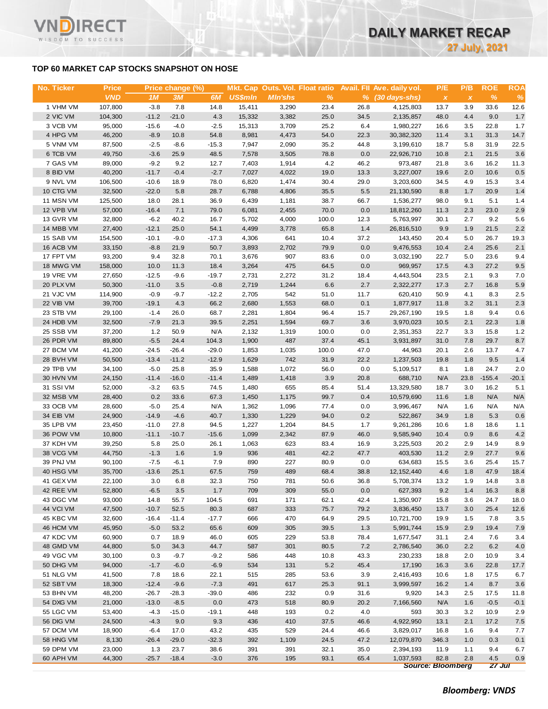# **TOP 60 MARKET CAP STOCKS SNAPSHOT ON HOSE**

WISDOM TO SUCCESS

| No. Ticker | <b>Price</b> |         | Price change (%) |         |                |                |               |      | Mkt. Cap Outs. Vol. Float ratio Avail. Fll Ave. daily vol. | P/E                       | P/B                       | <b>ROE</b>    | <b>ROA</b> |
|------------|--------------|---------|------------------|---------|----------------|----------------|---------------|------|------------------------------------------------------------|---------------------------|---------------------------|---------------|------------|
|            | <b>VND</b>   | 1M      | 3M               | 6M      | <b>US\$mln</b> | <b>MIn'shs</b> | $\frac{9}{6}$ |      | $%$ (30 days-shs)                                          | $\boldsymbol{\mathsf{X}}$ | $\boldsymbol{\mathsf{x}}$ | $\frac{9}{6}$ | %          |
| 1 VHM VM   | 107,800      | $-3.8$  | 7.8              | 14.8    | 15,411         | 3,290          | 23.4          | 26.8 | 4,125,803                                                  | 13.7                      | 3.9                       | 33.6          | 12.6       |
| 2 VIC VM   | 104,300      | $-11.2$ | $-21.0$          | 4.3     | 15,332         | 3,382          | 25.0          | 34.5 | 2,135,857                                                  | 48.0                      | 4.4                       | 9.0           | 1.7        |
| 3 VCB VM   | 95,000       | $-15.6$ | $-4.0$           | $-2.5$  | 15,313         | 3,709          | 25.2          | 6.4  | 1,980,227                                                  | 16.6                      | 3.5                       | 22.8          | 1.7        |
| 4 HPG VM   | 46,200       | $-8.9$  | 10.8             | 54.8    | 8,981          | 4,473          | 54.0          | 22.3 | 30, 382, 320                                               | 11.4                      | 3.1                       | 31.3          | 14.7       |
| 5 VNM VM   | 87,500       | $-2.5$  | $-8.6$           | $-15.3$ | 7,947          | 2,090          | 35.2          | 44.8 | 3,199,610                                                  | 18.7                      | 5.8                       | 31.9          | 22.5       |
| 6 TCB VM   | 49,750       | $-3.6$  | 25.9             | 48.5    | 7,578          | 3,505          | 78.8          | 0.0  | 22,926,710                                                 | 10.8                      | 2.1                       | 21.5          | 3.6        |
| 7 GAS VM   | 89,000       | $-9.2$  | 9.2              | 12.7    | 7,403          | 1,914          | 4.2           | 46.2 | 973,487                                                    | 21.8                      | 3.6                       | 16.2          | 11.3       |
| 8 BID VM   | 40,200       | $-11.7$ | $-0.4$           | $-2.7$  | 7,027          | 4,022          | 19.0          | 13.3 | 3,227,007                                                  | 19.6                      | 2.0                       | 10.6          | 0.5        |
| 9 NVL VM   | 106,500      | $-10.6$ | 18.9             | 78.0    | 6,820          | 1,474          | 30.4          | 29.0 | 3,203,600                                                  | 34.5                      | 4.9                       | 15.3          | 3.4        |
| 10 CTG VM  | 32,500       | $-22.0$ | 5.8              | 28.7    | 6,788          | 4,806          | 35.5          | 5.5  | 21,130,590                                                 | 8.8                       | 1.7                       | 20.9          | 1.4        |
| 11 MSN VM  | 125,500      | 18.0    | 28.1             | 36.9    | 6,439          | 1,181          | 38.7          | 66.7 | 1,536,277                                                  | 98.0                      | 9.1                       | 5.1           | 1.4        |
| 12 VPB VM  | 57,000       | $-16.4$ | 7.1              | 79.0    | 6,081          | 2,455          | 70.0          | 0.0  | 18,812,260                                                 | 11.3                      | 2.3                       | 23.0          | 2.9        |
| 13 GVR VM  | 32,800       | $-6.2$  | 40.2             | 16.7    | 5,702          | 4,000          | 100.0         | 12.3 | 5,763,997                                                  | 30.1                      | 2.7                       | 9.2           | 5.6        |
| 14 MBB VM  | 27,400       | $-12.1$ | 25.0             | 54.1    | 4,499          | 3,778          | 65.8          | 1.4  | 26,816,510                                                 | 9.9                       | 1.9                       | 21.5          | 2.2        |
| 15 SAB VM  | 154,500      | $-10.1$ | $-9.0$           | $-17.3$ | 4,306          | 641            | 10.4          | 37.2 | 143,450                                                    | 20.4                      | 5.0                       | 26.7          | 19.3       |
| 16 ACB VM  | 33,150       | $-8.8$  | 21.9             | 50.7    | 3,893          | 2,702          | 79.9          | 0.0  | 9,476,553                                                  | 10.4                      | 2.4                       | 25.6          | 2.1        |
| 17 FPT VM  | 93,200       | 9.4     | 32.8             | 70.1    | 3,676          | 907            | 83.6          | 0.0  | 3,032,190                                                  | 22.7                      | 5.0                       | 23.6          | 9.4        |
| 18 MWG VM  | 158,000      | 10.0    | 11.3             | 18.4    | 3,264          | 475            | 64.5          | 0.0  | 969,957                                                    | 17.5                      | 4.3                       | 27.2          | 9.5        |
| 19 VRE VM  | 27,650       | $-12.5$ | $-9.6$           | $-19.7$ | 2,731          | 2,272          | 31.2          | 18.4 | 4,443,504                                                  | 23.5                      | 2.1                       | 9.3           | 7.0        |
| 20 PLX VM  | 50,300       | $-11.0$ | 3.5              | $-0.8$  | 2,719          | 1,244          | 6.6           | 2.7  | 2,322,277                                                  | 17.3                      | 2.7                       | 16.8          | 5.9        |
| 21 VJC VM  | 114,900      | $-0.9$  | $-9.7$           | $-12.2$ | 2,705          | 542            | 51.0          | 11.7 | 620,410                                                    | 50.9                      | 4.1                       | 8.3           | 2.5        |
| 22 VIB VM  | 39,700       | $-19.1$ | 4.3              | 66.2    | 2,680          | 1,553          | 68.0          | 0.1  | 1,877,917                                                  | 11.8                      | 3.2                       | 31.1          | 2.3        |
| 23 STB VM  | 29,100       | $-1.4$  | 26.0             | 68.7    | 2,281          | 1,804          | 96.4          | 15.7 | 29,267,190                                                 | 19.5                      | 1.8                       | 9.4           | 0.6        |
| 24 HDB VM  | 32,500       | $-7.9$  | 21.3             | 39.5    | 2,251          | 1,594          | 69.7          | 3.6  | 3,970,023                                                  | 10.5                      | 2.1                       | 22.3          | 1.8        |
| 25 SSB VM  | 37,200       | 1.2     | 50.9             | N/A     | 2,132          | 1,319          | 100.0         | 0.0  | 2,351,353                                                  | 22.7                      | 3.3                       | 15.8          | 1.2        |
| 26 PDR VM  | 89,800       | $-5.5$  | 24.4             | 104.3   | 1,900          | 487            | 37.4          | 45.1 | 3,931,897                                                  | 31.0                      | 7.8                       | 29.7          | 8.7        |
| 27 BCM VM  | 41,200       | $-24.5$ | $-26.4$          | $-29.0$ | 1,853          | 1,035          | 100.0         | 47.0 | 44,963                                                     | 20.1                      | 2.6                       | 13.7          | 4.7        |
| 28 BVH VM  | 50,500       | $-13.4$ | $-11.2$          | $-12.9$ | 1,629          | 742            | 31.9          | 22.2 | 1,237,503                                                  | 19.8                      | 1.8                       | 9.5           | 1.4        |
| 29 TPB VM  | 34,100       | $-5.0$  | 25.8             | 35.9    | 1,588          | 1,072          | 56.0          | 0.0  | 5,109,517                                                  | 8.1                       | 1.8                       | 24.7          | 2.0        |
| 30 HVN VM  | 24,150       | $-11.4$ | $-16.0$          | $-11.4$ | 1,489          | 1,418          | 3.9           | 20.8 | 688,710                                                    | N/A                       | 23.8                      | $-155.4$      | $-20.1$    |
| 31 SSI VM  | 52,000       | $-3.2$  | 63.5             | 74.5    | 1,480          | 655            | 85.4          | 51.4 | 13,329,580                                                 | 18.7                      | 3.0                       | 16.2          | 5.1        |
| 32 MSB VM  | 28,400       | 0.2     | 33.6             | 67.3    | 1,450          | 1,175          | 99.7          | 0.4  | 10,579,690                                                 | 11.6                      | 1.8                       | N/A           | N/A        |
| 33 OCB VM  | 28,600       | $-5.0$  | 25.4             | N/A     | 1,362          | 1,096          | 77.4          | 0.0  | 3,996,467                                                  | N/A                       | 1.6                       | N/A           | N/A        |
| 34 EIB VM  | 24,900       | $-14.9$ | $-4.6$           | 40.7    | 1,330          | 1,229          | 94.0          | 0.2  | 522,867                                                    | 34.9                      | 1.8                       | 5.3           | 0.6        |
| 35 LPB VM  | 23,450       | $-11.0$ | 27.8             | 94.5    | 1,227          | 1,204          | 84.5          | 1.7  | 9,261,286                                                  | 10.6                      | 1.8                       | 18.6          | 1.1        |
| 36 POW VM  | 10,800       | $-11.1$ | $-10.7$          | $-15.6$ | 1,099          | 2,342          | 87.9          | 46.0 | 9,585,940                                                  | 10.4                      | 0.9                       | 8.6           | 4.2        |
| 37 KDH VM  | 39,250       | 5.8     | 25.0             | 26.1    | 1,063          | 623            | 83.4          | 16.9 | 3,225,503                                                  | 20.2                      | 2.9                       | 14.9          | 8.9        |
| 38 VCG VM  | 44,750       | $-1.3$  | 1.6              | 1.9     | 936            | 481            | 42.2          | 47.7 | 403,530                                                    | 11.2                      | 2.9                       | 27.7          | 9.6        |
| 39 PNJ VM  | 90,100       | $-7.5$  | $-6.1$           | 7.9     | 890            | 227            | 80.9          | 0.0  | 634,683                                                    | 15.5                      | 3.6                       | 25.4          | 15.7       |
| 40 HSG VM  | 35,700       | $-13.6$ | 25.1             | 67.5    | 759            | 489            | 68.4          | 38.8 | 12, 152, 440                                               | 4.6                       | 1.8                       | 47.9          | 18.4       |
| 41 GEX VM  | 22,100       | 3.0     | 6.8              | 32.3    | 750            | 781            | 50.6          | 36.8 | 5,708,374                                                  | 13.2                      | 1.9                       | 14.8          | 3.8        |
| 42 REE VM  | 52,800       | $-6.5$  | 3.5              | 1.7     | 709            | 309            | 55.0          | 0.0  | 627,393                                                    | 9.2                       | 1.4                       | 16.3          | 8.8        |
| 43 DGC VM  | 93,000       | 14.8    | 55.7             | 104.5   | 691            | 171            | 62.1          | 42.4 | 1,350,907                                                  | 15.8                      | 3.6                       | 24.7          | 18.0       |
| 44 VCI VM  | 47,500       | $-10.7$ | 52.5             | 80.3    | 687            | 333            | 75.7          | 79.2 | 3,836,450                                                  | 13.7                      | 3.0                       | 25.4          | 12.6       |
| 45 KBC VM  | 32,600       | $-16.4$ | $-11.4$          | $-17.7$ | 666            | 470            | 64.9          | 29.5 | 10,721,700                                                 | 19.9                      | 1.5                       | 7.8           | 3.5        |
| 46 HCM VM  | 45,950       | $-5.0$  | 53.2             | 65.6    | 609            | 305            | 39.5          | 1.3  | 5,991,744                                                  | 15.9                      | 2.9                       | 19.4          | 7.9        |
| 47 KDC VM  | 60,900       | 0.7     | 18.9             | 46.0    | 605            | 229            | 53.8          | 78.4 | 1,677,547                                                  | 31.1                      | 2.4                       | 7.6           | 3.4        |
| 48 GMD VM  | 44,800       | 5.0     | 34.3             | 44.7    | 587            | 301            | 80.5          | 7.2  | 2,786,540                                                  | 36.0                      | 2.2                       | 6.2           | 4.0        |
| 49 VGC VM  | 30,100       | 0.3     | $-9.7$           | $-9.2$  | 586            | 448            | 10.8          | 43.3 | 230,233                                                    | 18.8                      | 2.0                       | 10.9          | 3.4        |
| 50 DHG VM  | 94,000       | $-1.7$  | $-6.0$           | $-6.9$  | 534            | 131            | 5.2           | 45.4 | 17,190                                                     | 16.3                      | 3.6                       | 22.8          | 17.7       |
| 51 NLG VM  | 41,500       | 7.8     | 18.6             | 22.1    | 515            | 285            | 53.6          | 3.9  | 2,416,493                                                  | 10.6                      | 1.8                       | 17.5          | 6.7        |
| 52 SBT VM  | 18,300       | $-12.4$ | $-9.6$           | $-7.3$  | 491            | 617            | 25.3          | 91.1 | 3,999,597                                                  | 16.2                      | 1.4                       | 8.7           | 3.6        |
| 53 BHN VM  | 48,200       | $-26.7$ | $-28.3$          | $-39.0$ | 486            | 232            | 0.9           | 31.6 | 9,920                                                      | 14.3                      | 2.5                       | 17.5          | 11.8       |
| 54 DXG VM  | 21,000       | $-13.0$ | $-8.5$           | 0.0     | 473            | 518            | 80.9          | 20.2 | 7,166,560                                                  | N/A                       | 1.6                       | $-0.5$        | $-0.1$     |
| 55 LGC VM  | 53,400       | $-4.3$  | $-15.0$          | $-19.1$ | 448            | 193            | 0.2           | 4.0  | 593                                                        | 30.3                      | 3.2                       | 10.9          | 2.9        |
| 56 DIG VM  | 24,500       | $-4.3$  | 9.0              | 9.3     | 436            | 410            | 37.5          | 46.6 | 4,922,950                                                  | 13.1                      | 2.1                       | 17.2          | 7.5        |
| 57 DCM VM  | 18,900       | $-6.4$  | 17.0             | 43.2    | 435            | 529            | 24.4          | 46.6 | 3,829,017                                                  | 16.8                      | 1.6                       | 9.4           | 7.7        |
| 58 HNG VM  | 8,130        | $-26.4$ | $-29.0$          | $-32.3$ | 392            | 1,109          | 24.5          | 47.2 | 12,079,870                                                 | 346.3                     | 1.0                       | 0.3           | 0.1        |
| 59 DPM VM  | 23,000       | 1.3     | 23.7             | 38.6    | 391            | 391            | 32.1          | 35.0 | 2,394,193                                                  | 11.9                      | 1.1                       | 9.4           | 6.7        |
| 60 APH VM  | 44,300       | $-25.7$ | $-18.4$          | $-3.0$  | 376            | 195            | 93.1          | 65.4 | 1,037,593                                                  | 82.8                      | 2.8                       | 4.5           | 0.9        |
|            |              |         |                  |         |                |                |               |      |                                                            | <b>Source: Bloomberg</b>  |                           | 27 Jul        |            |